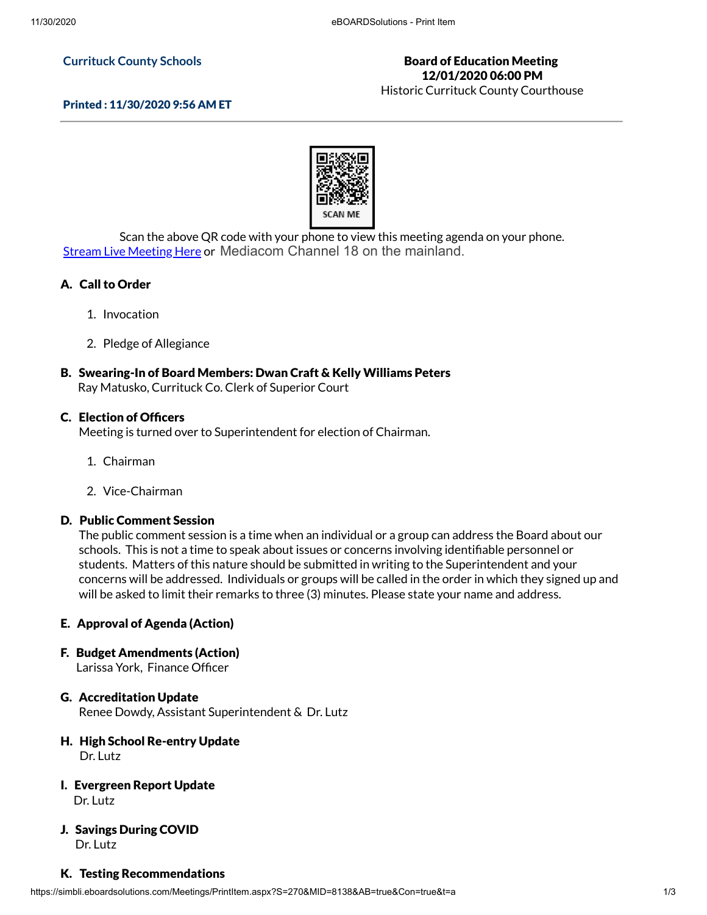#### **Currituck County Schools**

### Board of Education Meeting 12/01/2020 06:00 PM

Historic Currituck County Courthouse

### Printed : 11/30/2020 9:56 AM ET



Scan the above QR code with your phone to view this meeting agenda on your phone. **Stream Live [Meeting](http://currituckcountync.iqm2.com/Citizens/default.aspx) Here or Mediacom Channel 18 on the mainland.** 

### A. Call to Order

- 1. Invocation
- 2. Pledge of Allegiance

# B. Swearing-In of Board Members: Dwan Craft & Kelly Williams Peters

Ray Matusko, Currituck Co. Clerk of Superior Court

#### C. Election of Officers

Meeting is turned over to Superintendent for election of Chairman.

- 1. Chairman
- 2. Vice-Chairman

### D. Public Comment Session

The public comment session is a time when an individual or a group can address the Board about our schools. This is not a time to speak about issues or concerns involving identifiable personnel or students. Matters of this nature should be submitted in writing to the Superintendent and your concerns will be addressed. Individuals or groups will be called in the order in which they signed up and will be asked to limit their remarks to three (3) minutes. Please state your name and address.

### E. Approval of Agenda (Action)

F. Budget Amendments (Action)

Larissa York, Finance Officer

# G. Accreditation Update

Renee Dowdy, Assistant Superintendent & Dr. Lutz

### H. High School Re-entry Update Dr. Lutz

I. Evergreen Report Update Dr. Lutz

#### J. Savings During COVID Dr. Lutz

#### K. Testing Recommendations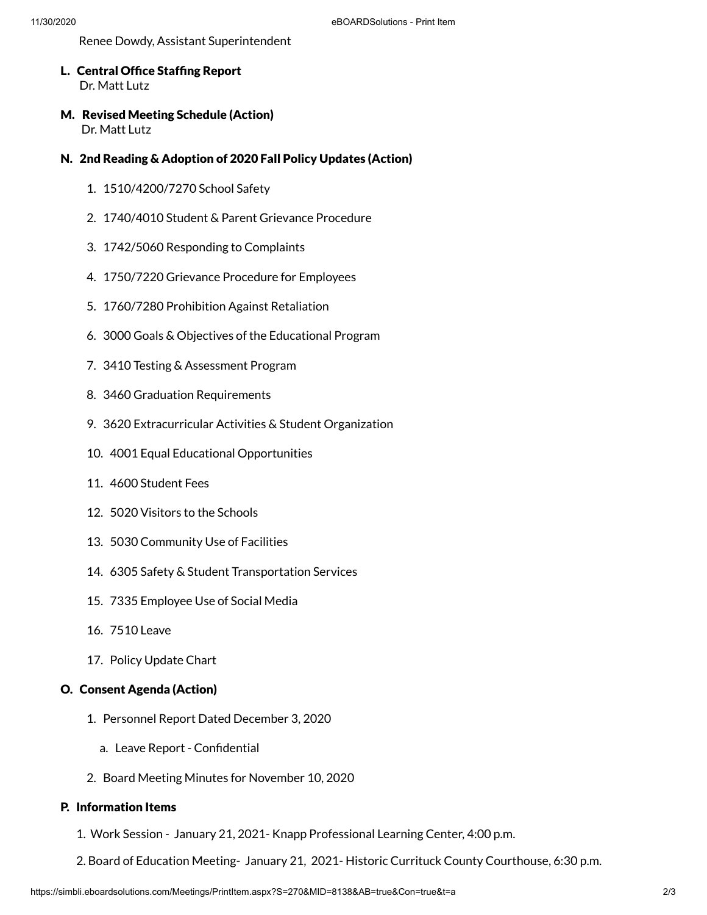Renee Dowdy, Assistant Superintendent

- L. Central Office Staffing Report Dr. Matt Lutz
- M. Revised Meeting Schedule (Action) Dr. Matt Lutz
- N. 2nd Reading & Adoption of 2020 Fall Policy Updates (Action)
	- 1. 1510/4200/7270 School Safety
	- 2. 1740/4010 Student & Parent Grievance Procedure
	- 3. 1742/5060 Responding to Complaints
	- 4. 1750/7220 Grievance Procedure for Employees
	- 5. 1760/7280 Prohibition Against Retaliation
	- 6. 3000 Goals & Objectives of the Educational Program
	- 7. 3410 Testing & Assessment Program
	- 8. 3460 Graduation Requirements
	- 9. 3620 Extracurricular Activities & Student Organization
	- 10. 4001 Equal Educational Opportunities
	- 11. 4600 Student Fees
	- 12. 5020 Visitors to the Schools
	- 13. 5030 Community Use of Facilities
	- 14. 6305 Safety & Student Transportation Services
	- 15. 7335 Employee Use of Social Media
	- 16. 7510 Leave
	- 17. Policy Update Chart

### O. Consent Agenda (Action)

- 1. Personnel Report Dated December 3, 2020
	- a. Leave Report Confidential
- 2. Board Meeting Minutes for November 10, 2020

# P. Information Items

- 1. Work Session January 21, 2021- Knapp Professional Learning Center, 4:00 p.m.
- 2. Board of Education Meeting- January 21, 2021- Historic Currituck County Courthouse, 6:30 p.m.